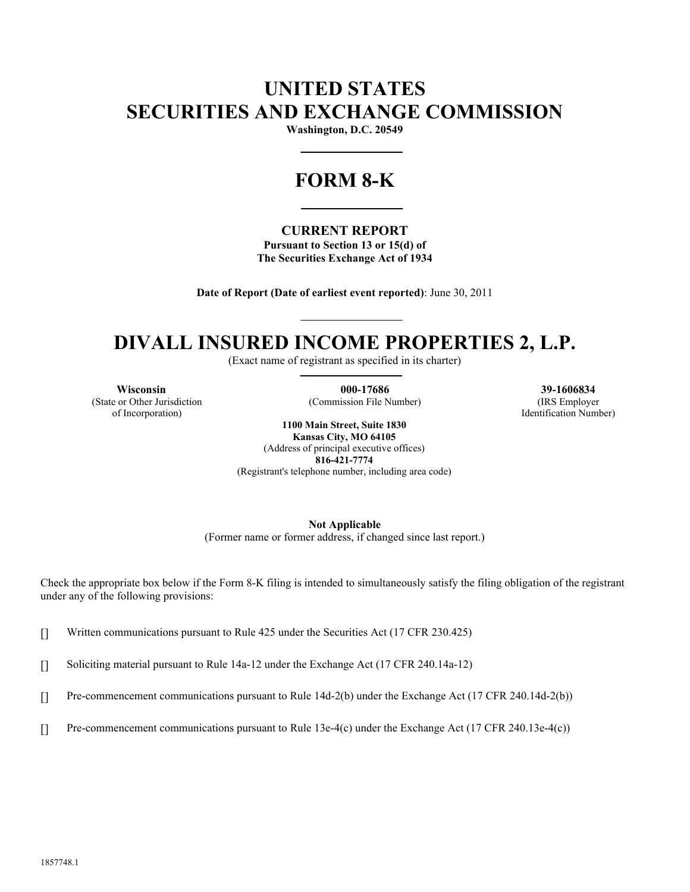## **UNITED STATES SECURITIES AND EXCHANGE COMMISSION**

**Washington, D.C. 20549**

# **FORM 8-K**

#### **CURRENT REPORT**

**Pursuant to Section 13 or 15(d) of The Securities Exchange Act of 1934**

**Date of Report (Date of earliest event reported)**: June 30, 2011

## **DIVALL INSURED INCOME PROPERTIES 2, L.P.**

(Exact name of registrant as specified in its charter)

(State or Other Jurisdiction of Incorporation)

**Wisconsin 000-17686 39-1606834**

(Commission File Number) (IRS Employer Identification Number)

**1100 Main Street, Suite 1830 Kansas City, MO 64105**

(Address of principal executive offices) **816-421-7774** (Registrant's telephone number, including area code)

**Not Applicable**

(Former name or former address, if changed since last report.)

Check the appropriate box below if the Form 8-K filing is intended to simultaneously satisfy the filing obligation of the registrant under any of the following provisions:

[] Written communications pursuant to Rule 425 under the Securities Act (17 CFR 230.425)

[] Soliciting material pursuant to Rule 14a-12 under the Exchange Act (17 CFR 240.14a-12)

[] Pre-commencement communications pursuant to Rule 14d-2(b) under the Exchange Act (17 CFR 240.14d-2(b))

[] Pre-commencement communications pursuant to Rule 13e-4(c) under the Exchange Act (17 CFR 240.13e-4(c))